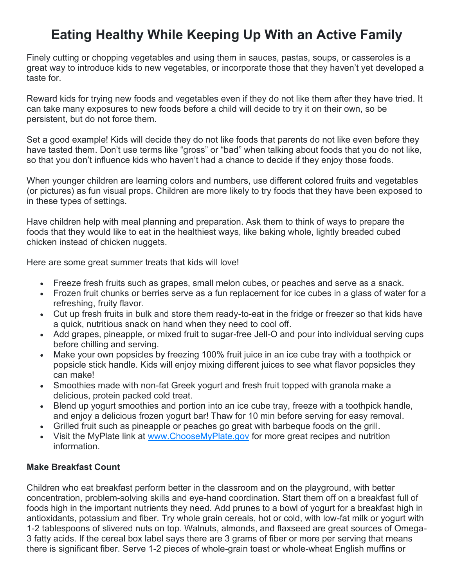# **Eating Healthy While Keeping Up With an Active Family**

Finely cutting or chopping vegetables and using them in sauces, pastas, soups, or casseroles is a great way to introduce kids to new vegetables, or incorporate those that they haven't yet developed a taste for.

Reward kids for trying new foods and vegetables even if they do not like them after they have tried. It can take many exposures to new foods before a child will decide to try it on their own, so be persistent, but do not force them.

Set a good example! Kids will decide they do not like foods that parents do not like even before they have tasted them. Don't use terms like "gross" or "bad" when talking about foods that you do not like, so that you don't influence kids who haven't had a chance to decide if they enjoy those foods.

When younger children are learning colors and numbers, use different colored fruits and vegetables (or pictures) as fun visual props. Children are more likely to try foods that they have been exposed to in these types of settings.

Have children help with meal planning and preparation. Ask them to think of ways to prepare the foods that they would like to eat in the healthiest ways, like baking whole, lightly breaded cubed chicken instead of chicken nuggets.

Here are some great summer treats that kids will love!

- Freeze fresh fruits such as grapes, small melon cubes, or peaches and serve as a snack.
- Frozen fruit chunks or berries serve as a fun replacement for ice cubes in a glass of water for a refreshing, fruity flavor.
- Cut up fresh fruits in bulk and store them ready-to-eat in the fridge or freezer so that kids have a quick, nutritious snack on hand when they need to cool off.
- Add grapes, pineapple, or mixed fruit to sugar-free Jell-O and pour into individual serving cups before chilling and serving.
- Make your own popsicles by freezing 100% fruit juice in an ice cube tray with a toothpick or popsicle stick handle. Kids will enjoy mixing different juices to see what flavor popsicles they can make!
- Smoothies made with non-fat Greek yogurt and fresh fruit topped with granola make a delicious, protein packed cold treat.
- Blend up yogurt smoothies and portion into an ice cube tray, freeze with a toothpick handle, and enjoy a delicious frozen yogurt bar! Thaw for 10 min before serving for easy removal.
- Grilled fruit such as pineapple or peaches go great with barbeque foods on the grill.
- Visit the MyPlate link at [www.ChooseMyPlate.gov](http://www.choosemyplate.gov/) for more great recipes and nutrition information.

# **Make Breakfast Count**

Children who eat breakfast perform better in the classroom and on the playground, with better concentration, problem-solving skills and eye-hand coordination. Start them off on a breakfast full of foods high in the important nutrients they need. Add prunes to a bowl of yogurt for a breakfast high in antioxidants, potassium and fiber. Try whole grain cereals, hot or cold, with low-fat milk or yogurt with 1-2 tablespoons of slivered nuts on top. Walnuts, almonds, and flaxseed are great sources of Omega-3 fatty acids. If the cereal box label says there are 3 grams of fiber or more per serving that means there is significant fiber. Serve 1-2 pieces of whole-grain toast or whole-wheat English muffins or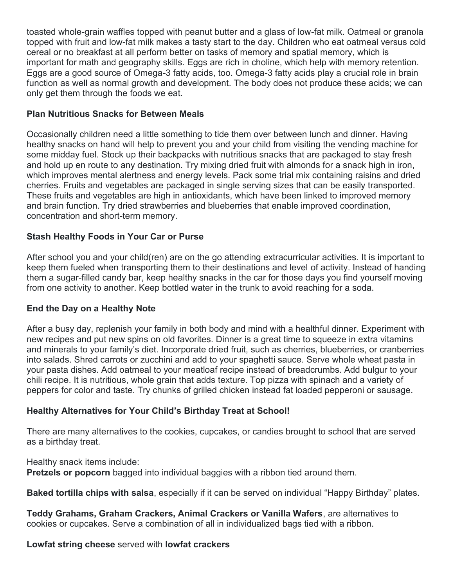toasted whole-grain waffles topped with peanut butter and a glass of low-fat milk. Oatmeal or granola topped with fruit and low-fat milk makes a tasty start to the day. Children who eat oatmeal versus cold cereal or no breakfast at all perform better on tasks of memory and spatial memory, which is important for math and geography skills. Eggs are rich in choline, which help with memory retention. Eggs are a good source of Omega-3 fatty acids, too. Omega-3 fatty acids play a crucial role in brain function as well as normal growth and development. The body does not produce these acids; we can only get them through the foods we eat.

### **Plan Nutritious Snacks for Between Meals**

Occasionally children need a little something to tide them over between lunch and dinner. Having healthy snacks on hand will help to prevent you and your child from visiting the vending machine for some midday fuel. Stock up their backpacks with nutritious snacks that are packaged to stay fresh and hold up en route to any destination. Try mixing dried fruit with almonds for a snack high in iron, which improves mental alertness and energy levels. Pack some trial mix containing raisins and dried cherries. Fruits and vegetables are packaged in single serving sizes that can be easily transported. These fruits and vegetables are high in antioxidants, which have been linked to improved memory and brain function. Try dried strawberries and blueberries that enable improved coordination, concentration and short-term memory.

# **Stash Healthy Foods in Your Car or Purse**

After school you and your child(ren) are on the go attending extracurricular activities. It is important to keep them fueled when transporting them to their destinations and level of activity. Instead of handing them a sugar-filled candy bar, keep healthy snacks in the car for those days you find yourself moving from one activity to another. Keep bottled water in the trunk to avoid reaching for a soda.

#### **End the Day on a Healthy Note**

After a busy day, replenish your family in both body and mind with a healthful dinner. Experiment with new recipes and put new spins on old favorites. Dinner is a great time to squeeze in extra vitamins and minerals to your family's diet. Incorporate dried fruit, such as cherries, blueberries, or cranberries into salads. Shred carrots or zucchini and add to your spaghetti sauce. Serve whole wheat pasta in your pasta dishes. Add oatmeal to your meatloaf recipe instead of breadcrumbs. Add bulgur to your chili recipe. It is nutritious, whole grain that adds texture. Top pizza with spinach and a variety of peppers for color and taste. Try chunks of grilled chicken instead fat loaded pepperoni or sausage.

#### **Healthy Alternatives for Your Child's Birthday Treat at School!**

There are many alternatives to the cookies, cupcakes, or candies brought to school that are served as a birthday treat.

Healthy snack items include: **Pretzels or popcorn** bagged into individual baggies with a ribbon tied around them.

**Baked tortilla chips with salsa**, especially if it can be served on individual "Happy Birthday" plates.

**Teddy Grahams, Graham Crackers, Animal Crackers or Vanilla Wafers**, are alternatives to cookies or cupcakes. Serve a combination of all in individualized bags tied with a ribbon.

**Lowfat string cheese** served with **lowfat crackers**